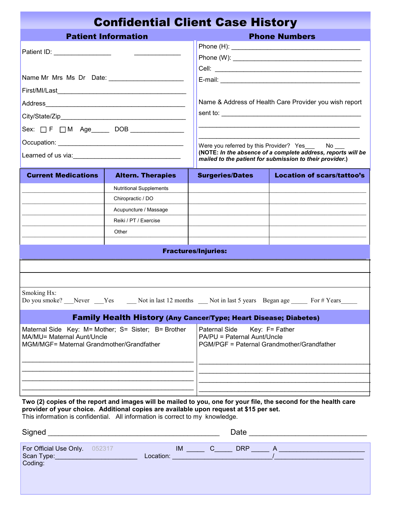| <b>Confidential Client Case History</b>                                                                                        |                                                                                                                  |                                                                                                                                                                        |                                                                                         |  |  |
|--------------------------------------------------------------------------------------------------------------------------------|------------------------------------------------------------------------------------------------------------------|------------------------------------------------------------------------------------------------------------------------------------------------------------------------|-----------------------------------------------------------------------------------------|--|--|
|                                                                                                                                | <b>Patient Information</b>                                                                                       |                                                                                                                                                                        | <b>Phone Numbers</b>                                                                    |  |  |
| Patient ID: __________________                                                                                                 |                                                                                                                  |                                                                                                                                                                        |                                                                                         |  |  |
|                                                                                                                                |                                                                                                                  |                                                                                                                                                                        |                                                                                         |  |  |
|                                                                                                                                |                                                                                                                  |                                                                                                                                                                        | Name & Address of Health Care Provider you wish report                                  |  |  |
|                                                                                                                                |                                                                                                                  |                                                                                                                                                                        |                                                                                         |  |  |
|                                                                                                                                |                                                                                                                  |                                                                                                                                                                        |                                                                                         |  |  |
|                                                                                                                                |                                                                                                                  | Were you referred by this Provider? Yes No<br>(NOTE: In the absence of a complete address, reports will be<br>mailed to the patient for submission to their provider.) |                                                                                         |  |  |
| <b>Current Medications</b>                                                                                                     | <b>Altern. Therapies</b>                                                                                         | <b>Surgeries/Dates</b>                                                                                                                                                 | <b>Location of scars/tattoo's</b>                                                       |  |  |
|                                                                                                                                | <b>Nutritional Supplements</b>                                                                                   |                                                                                                                                                                        |                                                                                         |  |  |
|                                                                                                                                | Chiropractic / DO                                                                                                |                                                                                                                                                                        |                                                                                         |  |  |
|                                                                                                                                | Acupuncture / Massage                                                                                            |                                                                                                                                                                        |                                                                                         |  |  |
|                                                                                                                                | Reiki / PT / Exercise                                                                                            |                                                                                                                                                                        |                                                                                         |  |  |
|                                                                                                                                | Other                                                                                                            |                                                                                                                                                                        |                                                                                         |  |  |
|                                                                                                                                |                                                                                                                  | <b>Fractures/Injuries:</b>                                                                                                                                             |                                                                                         |  |  |
|                                                                                                                                |                                                                                                                  |                                                                                                                                                                        |                                                                                         |  |  |
|                                                                                                                                |                                                                                                                  |                                                                                                                                                                        |                                                                                         |  |  |
|                                                                                                                                |                                                                                                                  |                                                                                                                                                                        |                                                                                         |  |  |
| Smoking Hx:                                                                                                                    |                                                                                                                  |                                                                                                                                                                        | Do you smoke? Never Yes Not in last 12 months Not in last 5 years Began age Nor # Years |  |  |
|                                                                                                                                | <b>Family Health History (Any Cancer/Type; Heart Disease; Diabetes)</b>                                          |                                                                                                                                                                        |                                                                                         |  |  |
| Maternal Side Key: M= Mother; S= Sister; B= Brother<br>MA/MU= Maternal Aunt/Uncle<br>MGM/MGF= Maternal Grandmother/Grandfather |                                                                                                                  | Paternal Side<br>Key: $F =$ Father<br>PA/PU = Paternal Aunt/Uncle<br>PGM/PGF = Paternal Grandmother/Grandfather                                                        |                                                                                         |  |  |
|                                                                                                                                |                                                                                                                  |                                                                                                                                                                        |                                                                                         |  |  |
|                                                                                                                                |                                                                                                                  |                                                                                                                                                                        |                                                                                         |  |  |
|                                                                                                                                | Two (2) copies of the report and images will be mailed to you, one for your file, the second for the health care |                                                                                                                                                                        |                                                                                         |  |  |

**Two (2) copies of the report and images will be mailed to you, one for your file, the second for the health care provider of your choice. Additional copies are available upon request at \$15 per set.**  This information is confidential. All information is correct to my knowledge.

| Signed                                      | Date                           |
|---------------------------------------------|--------------------------------|
| For Official Use Only. 052317<br>Scan Type: | <b>DRP</b><br>IM.<br>Location: |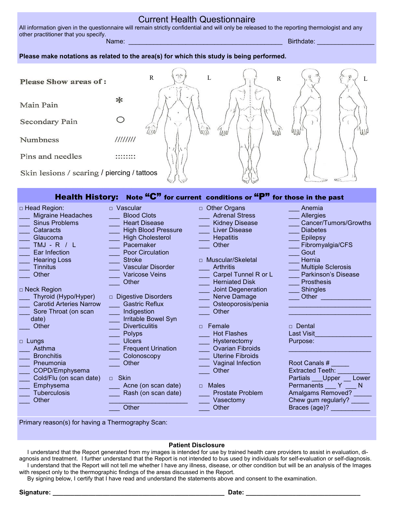### Current Health Questionnaire

All information given in the questionnaire will remain strictly confidential and will only be released to the reporting thermologist and any other practitioner that you specify.

Name: \_\_\_\_\_\_\_\_\_\_\_\_\_\_\_\_\_\_\_\_\_\_\_\_\_\_\_\_\_\_\_\_\_\_\_\_\_\_\_\_\_\_\_ Birthdate: \_\_\_\_\_\_\_\_\_\_\_\_\_\_\_\_

### **Please make notations as related to the area(s) for which this study is being performed.**

| <b>Please Show areas of:</b>                |          | $\sigma_{\rm eff}$<br>R<br>$-1 - 1$ | R |    | L             |
|---------------------------------------------|----------|-------------------------------------|---|----|---------------|
| Main Pain                                   | ⋇        |                                     |   |    |               |
| Secondary Pain                              |          |                                     |   | 朝時 | $J_{\rm eff}$ |
| Numbness                                    | 11111111 |                                     |   |    |               |
| Pins and needles                            |          |                                     |   |    |               |
| Skin lesions / scaring / piercing / tattoos |          |                                     |   |    |               |

# Health History: Note "C" for current conditions or "P" for those in the past

| $\Box$ Head Region:            | Vascular<br>$\Box$                   | $\Box$ Other Organs     | Anemia                    |
|--------------------------------|--------------------------------------|-------------------------|---------------------------|
| <b>Migraine Headaches</b>      | <b>Blood Clots</b>                   | <b>Adrenal Stress</b>   | <b>Allergies</b>          |
| <b>Sinus Problems</b>          | <b>Heart Disease</b>                 | <b>Kidney Disease</b>   | Cancer/Tumors/Growths     |
| Cataracts                      | <b>High Blood Pressure</b>           | <b>Liver Disease</b>    | <b>Diabetes</b>           |
| Glaucoma                       | <b>High Cholesterol</b>              | <b>Hepatitis</b>        | <b>Epilepsy</b>           |
| $TMJ - R / L$                  | Pacemaker                            | Other                   | Fibromyalgia/CFS          |
| Ear Infection                  | Poor Circulation                     |                         | Gout                      |
| <b>Hearing Loss</b>            | <b>Stroke</b>                        | □ Muscular/Skeletal     | Hernia                    |
| Tinnitus                       | <b>Vascular Disorder</b>             | <b>Arthritis</b>        | <b>Multiple Sclerosis</b> |
| Other                          | <b>Varicose Veins</b>                | Carpel Tunnel R or L    | Parkinson's Disease       |
|                                | Other                                | <b>Herniated Disk</b>   | <b>Prosthesis</b>         |
| □ Neck Region                  |                                      | Joint Degeneration      | <b>Shingles</b>           |
| Thyroid (Hypo/Hyper)           | <b>Digestive Disorders</b><br>$\Box$ | Nerve Damage            | Other                     |
| <b>Carotid Arteries Narrow</b> | <b>Gastric Reflux</b>                | Osteoporosis/penia      |                           |
| Sore Throat (on scan           | Indigestion                          | Other                   |                           |
| date)                          | Irritable Bowel Syn                  |                         |                           |
| Other                          | <b>Diverticulitis</b>                | Female<br>$\Box$        | $\Box$ Dental             |
|                                | Polyps                               | <b>Hot Flashes</b>      | <b>Last Visit</b>         |
| □ Lungs                        | <b>Ulcers</b>                        | Hysterectomy            | Purpose:                  |
| Asthma                         | <b>Frequent Urination</b>            | <b>Ovarian Fibroids</b> |                           |
| <b>Bronchitis</b>              | Colonoscopy                          | <b>Uterine Fibroids</b> |                           |
| Pneumonia                      | Other                                | Vaginal Infection       | Root Canals #             |
| COPD/Emphysema                 |                                      | Other                   | <b>Extracted Teeth:</b>   |
| Cold/Flu (on scan date)        | <b>Skin</b><br>$\Box$                |                         | Partials Upper<br>Lower   |
| Emphysema                      | Acne (on scan date)                  | Males<br>$\Box$         | Permanents<br>N<br>Y      |
| <b>Tuberculosis</b>            | Rash (on scan date)                  | <b>Prostate Problem</b> | <b>Amalgams Removed?</b>  |
| Other                          |                                      | Vasectomy               | Chew gum regularly?       |
|                                | Other                                | Other                   | Braces (age)?             |
|                                |                                      |                         |                           |
|                                |                                      |                         |                           |

Primary reason(s) for having a Thermography Scan:

### **Patient Disclosure**

 I understand that the Report generated from my images is intended for use by trained health care providers to assist in evaluation, diagnosis and treatment. I further understand that the Report is not intended to bus used by individuals for self-evaluation or self-diagnosis. I understand that the Report will not tell me whether I have any illness, disease, or other condition but will be an analysis of the Images with respect only to the thermographic findings of the areas discussed in the Report.

By signing below, I certify that I have read and understand the statements above and consent to the examination.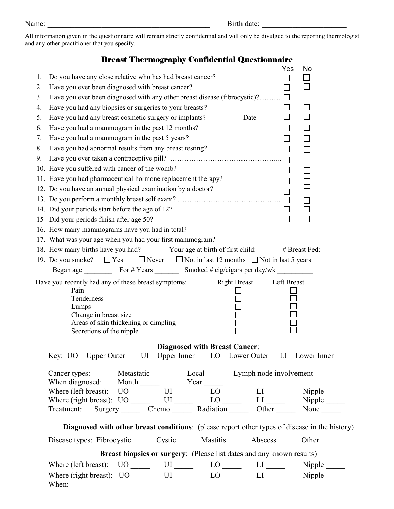All information given in the questionnaire will remain strictly confidential and will only be divulged to the reporting thermologist and any other practitioner that you specify.

# Breast Thermography Confidential Questionnaire

|    |                                                                                                                                            | Yes         | No |
|----|--------------------------------------------------------------------------------------------------------------------------------------------|-------------|----|
| 1. | Do you have any close relative who has had breast cancer?                                                                                  |             |    |
| 2. | Have you ever been diagnosed with breast cancer?                                                                                           |             |    |
| 3. | Have you ever been diagnosed with any other breast disease (fibrocystic)? $\Box$                                                           |             |    |
| 4. | Have you had any biopsies or surgeries to your breasts?                                                                                    | $\Box$      |    |
| 5. | Have you had any breast cosmetic surgery or implants? Date                                                                                 | $\Box$      |    |
| 6. | Have you had a mammogram in the past 12 months?                                                                                            | $\Box$      | П  |
| 7. | Have you had a mammogram in the past 5 years?                                                                                              |             |    |
| 8. | Have you had abnormal results from any breast testing?                                                                                     |             |    |
| 9. |                                                                                                                                            |             |    |
|    | 10. Have you suffered with cancer of the womb?                                                                                             | ▏           |    |
|    | 11. Have you had pharmaceutical hormone replacement therapy?                                                                               |             |    |
|    | 12. Do you have an annual physical examination by a doctor?                                                                                | $\Box$      |    |
|    |                                                                                                                                            | $\Box$      |    |
|    | 14. Did your periods start before the age of 12?                                                                                           |             |    |
|    | 15 Did your periods finish after age 50?                                                                                                   |             |    |
|    | 16. How many mammograms have you had in total?                                                                                             |             |    |
|    | 17. What was your age when you had your first mammogram?                                                                                   |             |    |
|    | 18. How many births have you had? ________ Your age at birth of first child: _______ # Breast Fed: ______                                  |             |    |
|    | 19. Do you smoke? $\Box$ Yes $\Box$ Never $\Box$ Not in last 12 months $\Box$ Not in last 5 years                                          |             |    |
|    |                                                                                                                                            |             |    |
|    | <b>Right Breast</b><br>Have you recently had any of these breast symptoms:<br>Pain                                                         | Left Breast |    |
|    | Tenderness                                                                                                                                 |             |    |
|    | Lumps                                                                                                                                      |             |    |
|    | Change in breast size<br>Areas of skin thickening or dimpling                                                                              |             |    |
|    | Secretions of the nipple                                                                                                                   |             |    |
|    |                                                                                                                                            |             |    |
|    | <b>Diagnosed with Breast Cancer:</b><br>Key: $UO = Upper$ Outer $UI = Upper$ Inner $LO = Lower$ Outer $LI = Lower$ Inner                   |             |    |
|    | Cancer types: Metastatic Local Lymph node involvement ________                                                                             |             |    |
|    |                                                                                                                                            |             |    |
|    | When diagnosed: Month Year LO<br>Where (left breast): UO<br>Where (right breast): UO<br>Treatment: Surgery Chemo Radiation Dther None None |             |    |
|    |                                                                                                                                            |             |    |
|    |                                                                                                                                            |             |    |
|    | Diagnosed with other breast conditions: (please report other types of disease in the history)                                              |             |    |
|    | Disease types: Fibrocystic _______ Cystic ________ Mastitis _______ Abscess _______ Other _______                                          |             |    |
|    | Breast biopsies or surgery: (Please list dates and any known results)                                                                      |             |    |
|    | Where (left breast): $UO$ $UI$ $UO$ $LO$ $LI$ $UI$ $Nipple$                                                                                |             |    |
|    | Where (right breast): UO ______ UI ______ LO _____ LI _____ Nipple _____<br>When:                                                          |             |    |